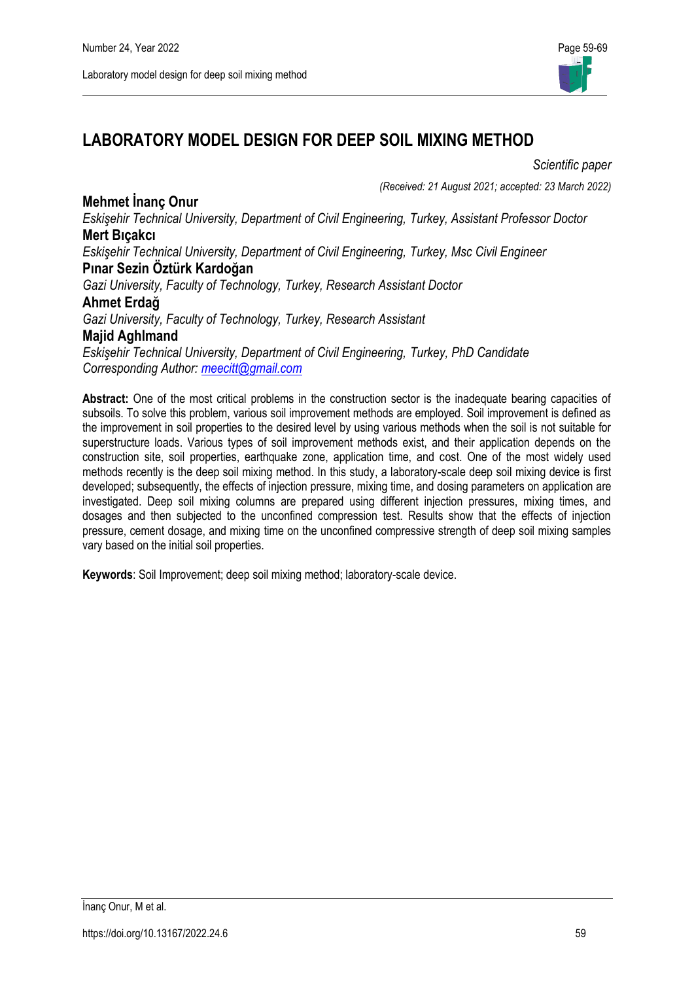

# **LABORATORY MODEL DESIGN FOR DEEP SOIL MIXING METHOD**

#### *Scientific paper*

*(Received: 21 August 2021; accepted: 23 March 2022)*

**Mehmet İnanç Onur** *Eskişehir Technical University, Department of Civil Engineering, Turkey, Assistant Professor Doctor* **Mert Bıçakcı**

*Eskişehir Technical University, Department of Civil Engineering, Turkey, Msc Civil Engineer* **Pınar Sezin Öztürk Kardoğan**

*Gazi University, Faculty of Technology, Turkey, Research Assistant Doctor*

### **Ahmet Erdağ**

*Gazi University, Faculty of Technology, Turkey, Research Assistant* **Majid Aghlmand**

*Eskişehir Technical University, Department of Civil Engineering, Turkey, PhD Candidate Corresponding Author: [meecitt@gmail.com](mailto:meecitt@gmail.com)*

**Abstract:** One of the most critical problems in the construction sector is the inadequate bearing capacities of subsoils. To solve this problem, various soil improvement methods are employed. Soil improvement is defined as the improvement in soil properties to the desired level by using various methods when the soil is not suitable for superstructure loads. Various types of soil improvement methods exist, and their application depends on the construction site, soil properties, earthquake zone, application time, and cost. One of the most widely used methods recently is the deep soil mixing method. In this study, a laboratory-scale deep soil mixing device is first developed; subsequently, the effects of injection pressure, mixing time, and dosing parameters on application are investigated. Deep soil mixing columns are prepared using different injection pressures, mixing times, and dosages and then subjected to the unconfined compression test. Results show that the effects of injection pressure, cement dosage, and mixing time on the unconfined compressive strength of deep soil mixing samples vary based on the initial soil properties.

**Keywords**: Soil Improvement; deep soil mixing method; laboratory-scale device.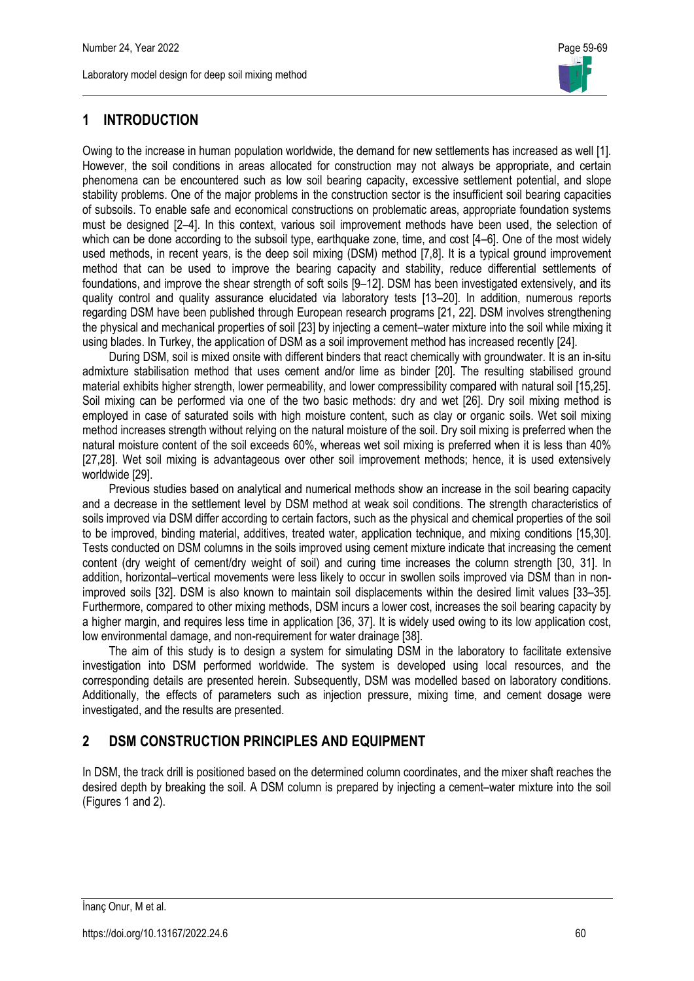# **1 INTRODUCTION**

Owing to the increase in human population worldwide, the demand for new settlements has increased as well [1]. However, the soil conditions in areas allocated for construction may not always be appropriate, and certain phenomena can be encountered such as low soil bearing capacity, excessive settlement potential, and slope stability problems. One of the major problems in the construction sector is the insufficient soil bearing capacities of subsoils. To enable safe and economical constructions on problematic areas, appropriate foundation systems must be designed [2–4]. In this context, various soil improvement methods have been used, the selection of which can be done according to the subsoil type, earthquake zone, time, and cost [4–6]. One of the most widely used methods, in recent years, is the deep soil mixing (DSM) method [7,8]. It is a typical ground improvement method that can be used to improve the bearing capacity and stability, reduce differential settlements of foundations, and improve the shear strength of soft soils [9–12]. DSM has been investigated extensively, and its quality control and quality assurance elucidated via laboratory tests [13–20]. In addition, numerous reports regarding DSM have been published through European research programs [21, 22]. DSM involves strengthening the physical and mechanical properties of soil [23] by injecting a cement–water mixture into the soil while mixing it using blades. In Turkey, the application of DSM as a soil improvement method has increased recently [24].

During DSM, soil is mixed onsite with different binders that react chemically with groundwater. It is an in-situ admixture stabilisation method that uses cement and/or lime as binder [20]. The resulting stabilised ground material exhibits higher strength, lower permeability, and lower compressibility compared with natural soil [15,25]. Soil mixing can be performed via one of the two basic methods: dry and wet [26]. Dry soil mixing method is employed in case of saturated soils with high moisture content, such as clay or organic soils. Wet soil mixing method increases strength without relying on the natural moisture of the soil. Dry soil mixing is preferred when the natural moisture content of the soil exceeds 60%, whereas wet soil mixing is preferred when it is less than 40% [27,28]. Wet soil mixing is advantageous over other soil improvement methods; hence, it is used extensively worldwide [29].

Previous studies based on analytical and numerical methods show an increase in the soil bearing capacity and a decrease in the settlement level by DSM method at weak soil conditions. The strength characteristics of soils improved via DSM differ according to certain factors, such as the physical and chemical properties of the soil to be improved, binding material, additives, treated water, application technique, and mixing conditions [15,30]. Tests conducted on DSM columns in the soils improved using cement mixture indicate that increasing the cement content (dry weight of cement/dry weight of soil) and curing time increases the column strength [30, 31]. In addition, horizontal–vertical movements were less likely to occur in swollen soils improved via DSM than in nonimproved soils [32]. DSM is also known to maintain soil displacements within the desired limit values [33–35]. Furthermore, compared to other mixing methods, DSM incurs a lower cost, increases the soil bearing capacity by a higher margin, and requires less time in application [36, 37]. It is widely used owing to its low application cost, low environmental damage, and non-requirement for water drainage [38].

The aim of this study is to design a system for simulating DSM in the laboratory to facilitate extensive investigation into DSM performed worldwide. The system is developed using local resources, and the corresponding details are presented herein. Subsequently, DSM was modelled based on laboratory conditions. Additionally, the effects of parameters such as injection pressure, mixing time, and cement dosage were investigated, and the results are presented.

# **2 DSM CONSTRUCTION PRINCIPLES AND EQUIPMENT**

In DSM, the track drill is positioned based on the determined column coordinates, and the mixer shaft reaches the desired depth by breaking the soil. A DSM column is prepared by injecting a cement–water mixture into the soil (Figures 1 and 2).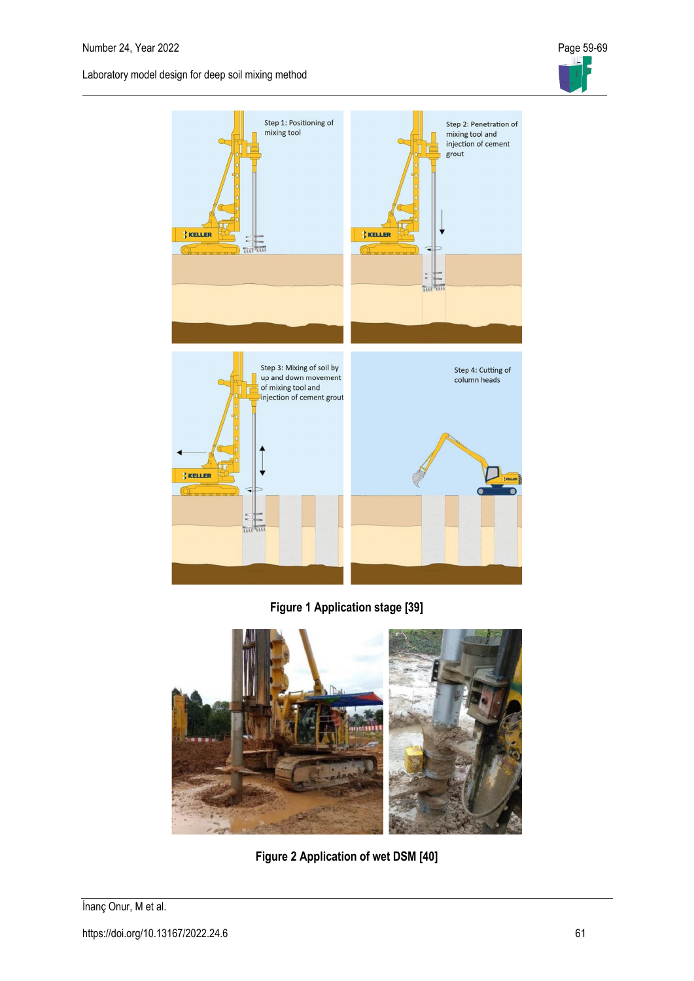



**Figure 1 Application stage [39]**



**Figure 2 Application of wet DSM [40]**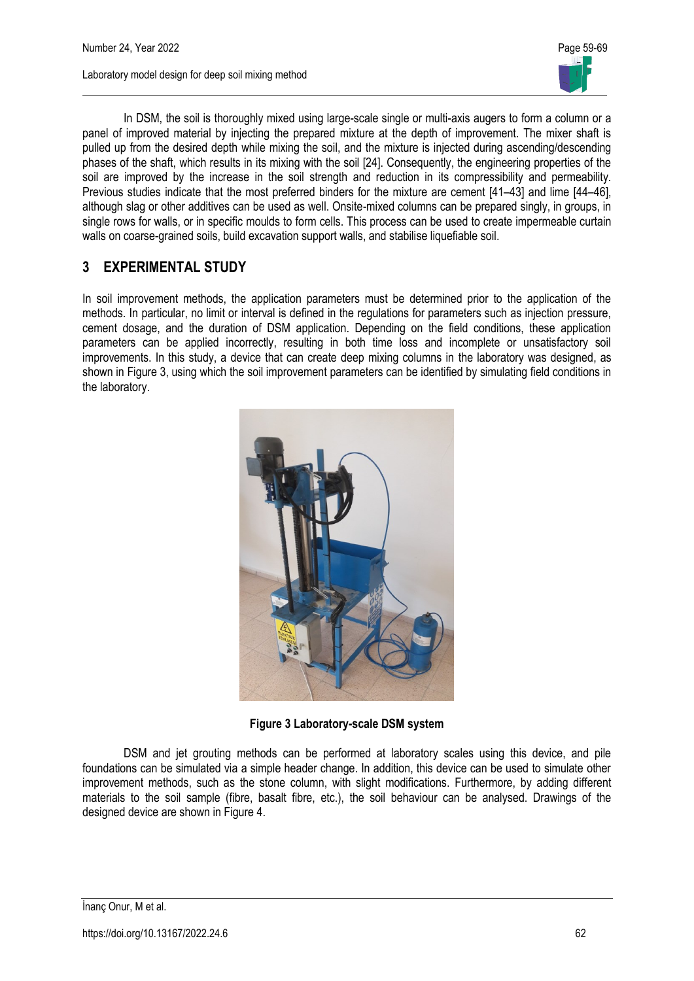

In DSM, the soil is thoroughly mixed using large-scale single or multi-axis augers to form a column or a panel of improved material by injecting the prepared mixture at the depth of improvement. The mixer shaft is pulled up from the desired depth while mixing the soil, and the mixture is injected during ascending/descending phases of the shaft, which results in its mixing with the soil [24]. Consequently, the engineering properties of the soil are improved by the increase in the soil strength and reduction in its compressibility and permeability. Previous studies indicate that the most preferred binders for the mixture are cement [41–43] and lime [44–46], although slag or other additives can be used as well. Onsite-mixed columns can be prepared singly, in groups, in single rows for walls, or in specific moulds to form cells. This process can be used to create impermeable curtain walls on coarse-grained soils, build excavation support walls, and stabilise liquefiable soil.

# **3 EXPERIMENTAL STUDY**

In soil improvement methods, the application parameters must be determined prior to the application of the methods. In particular, no limit or interval is defined in the regulations for parameters such as injection pressure, cement dosage, and the duration of DSM application. Depending on the field conditions, these application parameters can be applied incorrectly, resulting in both time loss and incomplete or unsatisfactory soil improvements. In this study, a device that can create deep mixing columns in the laboratory was designed, as shown in Figure 3, using which the soil improvement parameters can be identified by simulating field conditions in the laboratory.



**Figure 3 Laboratory-scale DSM system**

DSM and jet grouting methods can be performed at laboratory scales using this device, and pile foundations can be simulated via a simple header change. In addition, this device can be used to simulate other improvement methods, such as the stone column, with slight modifications. Furthermore, by adding different materials to the soil sample (fibre, basalt fibre, etc.), the soil behaviour can be analysed. Drawings of the designed device are shown in Figure 4.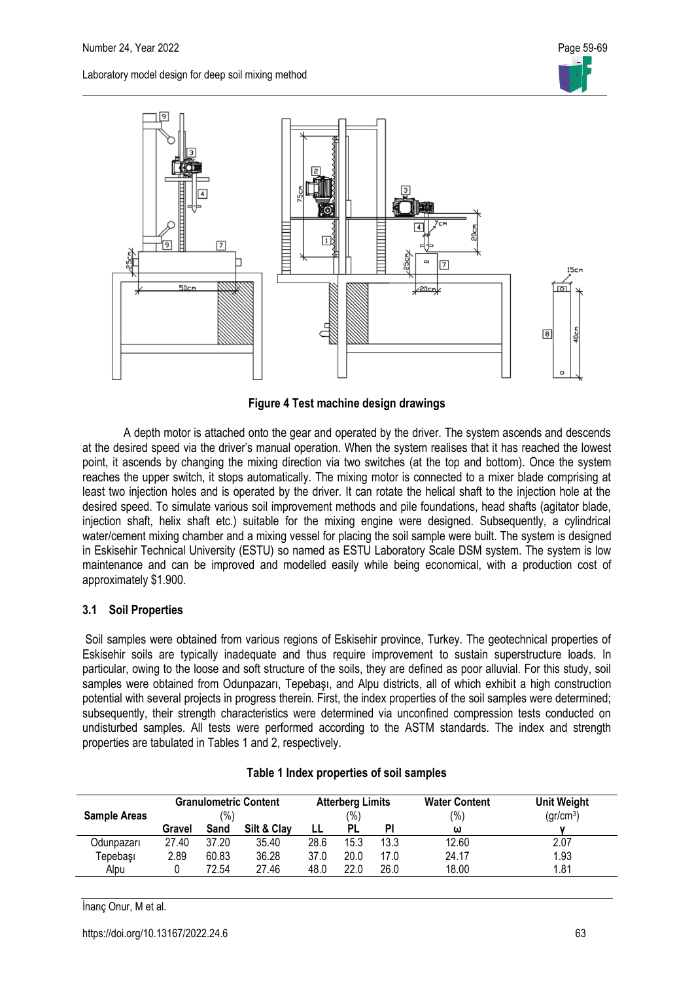



**Figure 4 Test machine design drawings**

A depth motor is attached onto the gear and operated by the driver. The system ascends and descends at the desired speed via the driver's manual operation. When the system realises that it has reached the lowest point, it ascends by changing the mixing direction via two switches (at the top and bottom). Once the system reaches the upper switch, it stops automatically. The mixing motor is connected to a mixer blade comprising at least two injection holes and is operated by the driver. It can rotate the helical shaft to the injection hole at the desired speed. To simulate various soil improvement methods and pile foundations, head shafts (agitator blade, injection shaft, helix shaft etc.) suitable for the mixing engine were designed. Subsequently, a cylindrical water/cement mixing chamber and a mixing vessel for placing the soil sample were built. The system is designed in Eskisehir Technical University (ESTU) so named as ESTU Laboratory Scale DSM system. The system is low maintenance and can be improved and modelled easily while being economical, with a production cost of approximately \$1.900.

### **3.1 Soil Properties**

Soil samples were obtained from various regions of Eskisehir province, Turkey. The geotechnical properties of Eskisehir soils are typically inadequate and thus require improvement to sustain superstructure loads. In particular, owing to the loose and soft structure of the soils, they are defined as poor alluvial. For this study, soil samples were obtained from Odunpazarı, Tepebaşı, and Alpu districts, all of which exhibit a high construction potential with several projects in progress therein. First, the index properties of the soil samples were determined; subsequently, their strength characteristics were determined via unconfined compression tests conducted on undisturbed samples. All tests were performed according to the ASTM standards. The index and strength properties are tabulated in Tables 1 and 2, respectively.

| <b>Sample Areas</b> | <b>Granulometric Content</b><br>$\frac{1}{2}$ |       |             | <b>Atterberg Limits</b><br>(%) |      |      | <b>Water Content</b><br>(%) | <b>Unit Weight</b><br>(gr/cm <sup>3</sup> ) |
|---------------------|-----------------------------------------------|-------|-------------|--------------------------------|------|------|-----------------------------|---------------------------------------------|
|                     | Gravel                                        | Sand  | Silt & Clay |                                | PL   | ΡI   | ω                           |                                             |
| Odunpazarı          | 27.40                                         | 37.20 | 35.40       | 28.6                           | 15.3 | 13.3 | 12.60                       | 2.07                                        |
| Tepebaşı            | 2.89                                          | 60.83 | 36.28       | 37.0                           | 20.0 | 17.0 | 24.17                       | 1.93                                        |
| Alpu                |                                               | 72.54 | 27.46       | 48.0                           | 22.0 | 26.0 | 18.00                       | 1.81                                        |

|  | Table 1 Index properties of soil samples |  |
|--|------------------------------------------|--|
|  |                                          |  |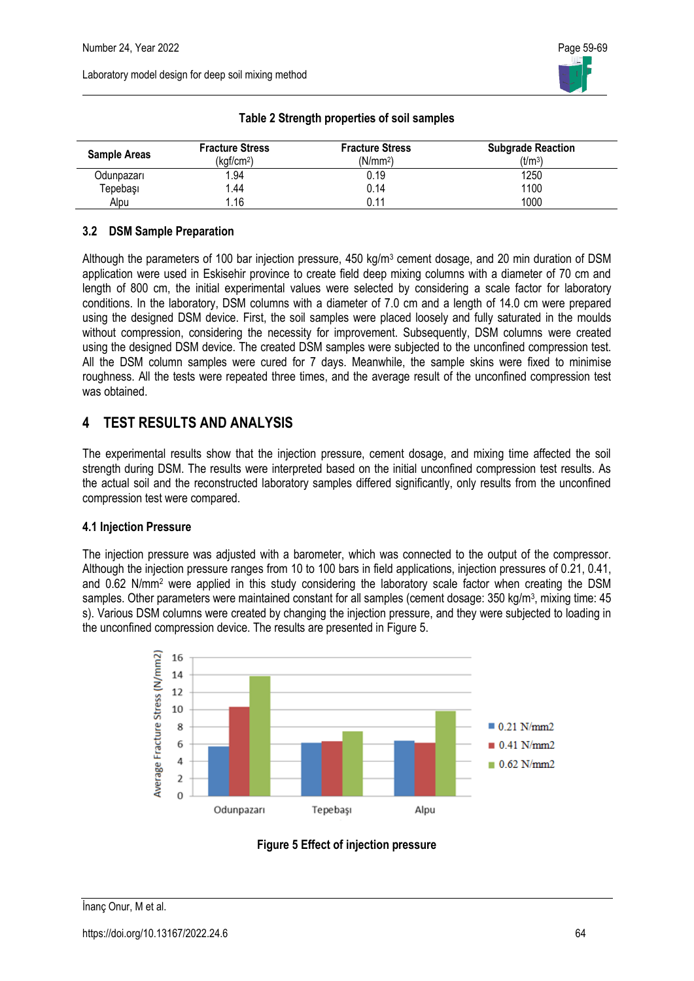| <b>Sample Areas</b> | <b>Fracture Stress</b><br>(kgf/cm <sup>2</sup> ) | <b>Fracture Stress</b><br>(N/mm <sup>2</sup> ) | <b>Subgrade Reaction</b><br>(t/m <sup>3</sup> ) |
|---------------------|--------------------------------------------------|------------------------------------------------|-------------------------------------------------|
| Odunpazarı          | 1.94                                             | 0.19                                           | 1250                                            |
| Tepebaşı            | 44. ا                                            | 0.14                                           | 1100                                            |
| Alpu                | 1.16                                             | 0.11                                           | 1000                                            |

### **Table 2 Strength properties of soil samples**

### **3.2 DSM Sample Preparation**

Although the parameters of 100 bar injection pressure, 450 kg/m<sup>3</sup> cement dosage, and 20 min duration of DSM application were used in Eskisehir province to create field deep mixing columns with a diameter of 70 cm and length of 800 cm, the initial experimental values were selected by considering a scale factor for laboratory conditions. In the laboratory, DSM columns with a diameter of 7.0 cm and a length of 14.0 cm were prepared using the designed DSM device. First, the soil samples were placed loosely and fully saturated in the moulds without compression, considering the necessity for improvement. Subsequently, DSM columns were created using the designed DSM device. The created DSM samples were subjected to the unconfined compression test. All the DSM column samples were cured for 7 days. Meanwhile, the sample skins were fixed to minimise roughness. All the tests were repeated three times, and the average result of the unconfined compression test was obtained.

# **4 TEST RESULTS AND ANALYSIS**

The experimental results show that the injection pressure, cement dosage, and mixing time affected the soil strength during DSM. The results were interpreted based on the initial unconfined compression test results. As the actual soil and the reconstructed laboratory samples differed significantly, only results from the unconfined compression test were compared.

### **4.1 Injection Pressure**

The injection pressure was adjusted with a barometer, which was connected to the output of the compressor. Although the injection pressure ranges from 10 to 100 bars in field applications, injection pressures of 0.21, 0.41, and 0.62 N/mm<sup>2</sup> were applied in this study considering the laboratory scale factor when creating the DSM samples. Other parameters were maintained constant for all samples (cement dosage: 350 kg/m<sup>3</sup>, mixing time: 45 s). Various DSM columns were created by changing the injection pressure, and they were subjected to loading in the unconfined compression device. The results are presented in Figure 5.



**Figure 5 Effect of injection pressure**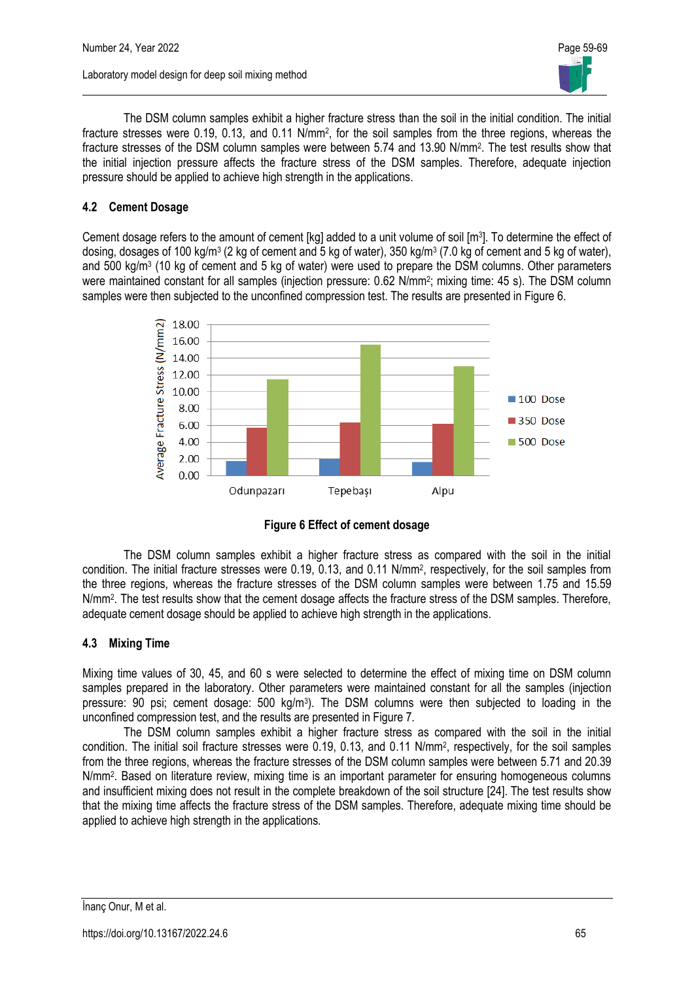

The DSM column samples exhibit a higher fracture stress than the soil in the initial condition. The initial fracture stresses were 0.19, 0.13, and 0.11 N/mm<sup>2</sup>, for the soil samples from the three regions, whereas the fracture stresses of the DSM column samples were between 5.74 and 13.90 N/mm<sup>2</sup>. The test results show that the initial injection pressure affects the fracture stress of the DSM samples. Therefore, adequate injection pressure should be applied to achieve high strength in the applications.

### **4.2 Cement Dosage**

Cement dosage refers to the amount of cement [kg] added to a unit volume of soil [m<sup>3</sup>]. To determine the effect of dosing, dosages of 100 kg/m<sup>3</sup> (2 kg of cement and 5 kg of water), 350 kg/m<sup>3</sup> (7.0 kg of cement and 5 kg of water), and 500 kg/m<sup>3</sup> (10 kg of cement and 5 kg of water) were used to prepare the DSM columns. Other parameters were maintained constant for all samples (injection pressure: 0.62 N/mm<sup>2</sup>; mixing time: 45 s). The DSM column samples were then subjected to the unconfined compression test. The results are presented in Figure 6.



**Figure 6 Effect of cement dosage**

The DSM column samples exhibit a higher fracture stress as compared with the soil in the initial condition. The initial fracture stresses were 0.19, 0.13, and 0.11 N/mm<sup>2</sup> , respectively, for the soil samples from the three regions, whereas the fracture stresses of the DSM column samples were between 1.75 and 15.59 N/mm<sup>2</sup> . The test results show that the cement dosage affects the fracture stress of the DSM samples. Therefore, adequate cement dosage should be applied to achieve high strength in the applications.

### **4.3 Mixing Time**

Mixing time values of 30, 45, and 60 s were selected to determine the effect of mixing time on DSM column samples prepared in the laboratory. Other parameters were maintained constant for all the samples (injection pressure: 90 psi; cement dosage: 500 kg/m<sup>3</sup>). The DSM columns were then subjected to loading in the unconfined compression test, and the results are presented in Figure 7.

The DSM column samples exhibit a higher fracture stress as compared with the soil in the initial condition. The initial soil fracture stresses were 0.19, 0.13, and 0.11 N/mm<sup>2</sup>, respectively, for the soil samples from the three regions, whereas the fracture stresses of the DSM column samples were between 5.71 and 20.39 N/mm<sup>2</sup> . Based on literature review, mixing time is an important parameter for ensuring homogeneous columns and insufficient mixing does not result in the complete breakdown of the soil structure [24]. The test results show that the mixing time affects the fracture stress of the DSM samples. Therefore, adequate mixing time should be applied to achieve high strength in the applications.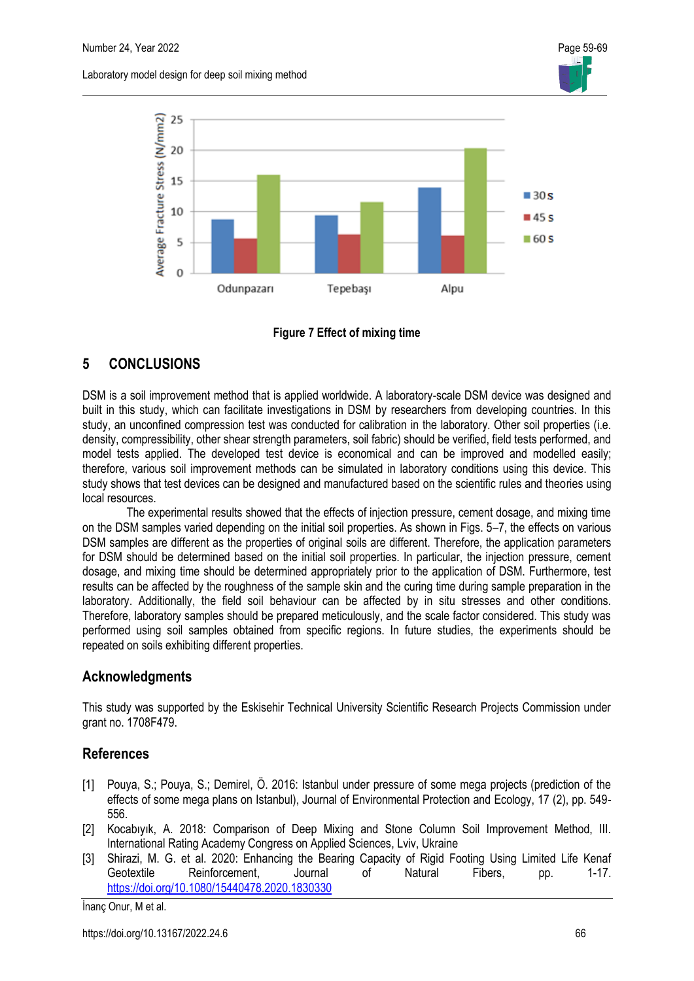



#### **Figure 7 Effect of mixing time**

# **5 CONCLUSIONS**

DSM is a soil improvement method that is applied worldwide. A laboratory-scale DSM device was designed and built in this study, which can facilitate investigations in DSM by researchers from developing countries. In this study, an unconfined compression test was conducted for calibration in the laboratory. Other soil properties (i.e. density, compressibility, other shear strength parameters, soil fabric) should be verified, field tests performed, and model tests applied. The developed test device is economical and can be improved and modelled easily; therefore, various soil improvement methods can be simulated in laboratory conditions using this device. This study shows that test devices can be designed and manufactured based on the scientific rules and theories using local resources.

The experimental results showed that the effects of injection pressure, cement dosage, and mixing time on the DSM samples varied depending on the initial soil properties. As shown in Figs. 5–7, the effects on various DSM samples are different as the properties of original soils are different. Therefore, the application parameters for DSM should be determined based on the initial soil properties. In particular, the injection pressure, cement dosage, and mixing time should be determined appropriately prior to the application of DSM. Furthermore, test results can be affected by the roughness of the sample skin and the curing time during sample preparation in the laboratory. Additionally, the field soil behaviour can be affected by in situ stresses and other conditions. Therefore, laboratory samples should be prepared meticulously, and the scale factor considered. This study was performed using soil samples obtained from specific regions. In future studies, the experiments should be repeated on soils exhibiting different properties.

# **Acknowledgments**

This study was supported by the Eskisehir Technical University Scientific Research Projects Commission under grant no. 1708F479.

# **References**

- [1] Pouya, S.; Pouya, S.; Demirel, Ö. 2016: Istanbul under pressure of some mega projects (prediction of the effects of some mega plans on Istanbul), Journal of Environmental Protection and Ecology, 17 (2), pp. 549- 556.
- [2] Kocabıyık, A. 2018: Comparison of Deep Mixing and Stone Column Soil Improvement Method, III. International Rating Academy Congress on Applied Sciences, Lviv, Ukraine
- [3] Shirazi, M. G. et al. 2020: Enhancing the Bearing Capacity of Rigid Footing Using Limited Life Kenaf Geotextile Reinforcement, Journal of Natural Fibers, pp. 1-17. <https://doi.org/10.1080/15440478.2020.1830330>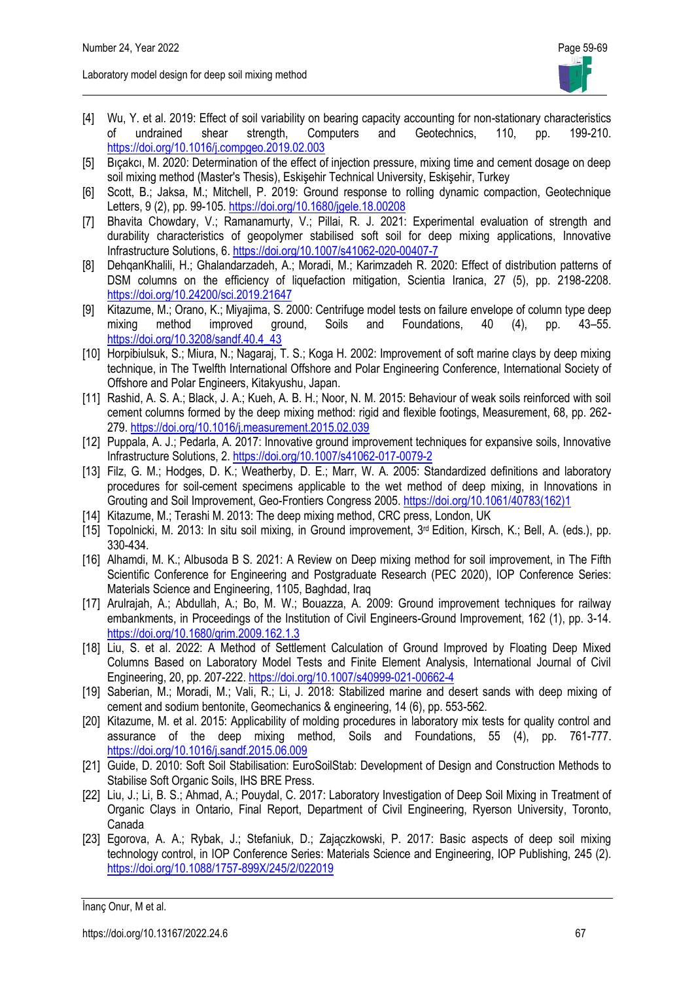- [4] Wu, Y. et al. 2019: Effect of soil variability on bearing capacity accounting for non-stationary characteristics of undrained shear strength, Computers and Geotechnics, 110, pp. 199-210. <https://doi.org/10.1016/j.compgeo.2019.02.003>
- [5] Bıçakcı, M. 2020: Determination of the effect of injection pressure, mixing time and cement dosage on deep soil mixing method (Master's Thesis), Eskişehir Technical University, Eskişehir, Turkey
- [6] Scott, B.; Jaksa, M.; Mitchell, P. 2019: Ground response to rolling dynamic compaction, Geotechnique Letters, 9 (2), pp. 99-105. <https://doi.org/10.1680/jgele.18.00208>
- [7] Bhavita Chowdary, V.; Ramanamurty, V.; Pillai, R. J. 2021: Experimental evaluation of strength and durability characteristics of geopolymer stabilised soft soil for deep mixing applications, Innovative Infrastructure Solutions, 6.<https://doi.org/10.1007/s41062-020-00407-7>
- [8] DehqanKhalili, H.; Ghalandarzadeh, A.; Moradi, M.; Karimzadeh R. 2020: Effect of distribution patterns of DSM columns on the efficiency of liquefaction mitigation, Scientia Iranica, 27 (5), pp. 2198-2208. <https://doi.org/10.24200/sci.2019.21647>
- [9] Kitazume, M.; Orano, K.; Miyajima, S. 2000: Centrifuge model tests on failure envelope of column type deep mixing method improved ground, Soils and Foundations, 40 (4), pp. 43–55. [https://doi.org/10.3208/sandf.40.4\\_43](https://doi.org/10.3208/sandf.40.4_43)
- [10] Horpibiulsuk, S.; Miura, N.; Nagaraj, T. S.; Koga H. 2002: Improvement of soft marine clays by deep mixing technique, in The Twelfth International Offshore and Polar Engineering Conference, International Society of Offshore and Polar Engineers, Kitakyushu, Japan.
- [11] Rashid, A. S. A.; Black, J. A.; Kueh, A. B. H.; Noor, N. M. 2015: Behaviour of weak soils reinforced with soil cement columns formed by the deep mixing method: rigid and flexible footings, Measurement, 68, pp. 262- 279.<https://doi.org/10.1016/j.measurement.2015.02.039>
- [12] Puppala, A. J.; Pedarla, A. 2017: Innovative ground improvement techniques for expansive soils, Innovative Infrastructure Solutions, 2.<https://doi.org/10.1007/s41062-017-0079-2>
- [13] Filz, G. M.; Hodges, D. K.; Weatherby, D. E.; Marr, W. A. 2005: Standardized definitions and laboratory procedures for soil-cement specimens applicable to the wet method of deep mixing, in Innovations in Grouting and Soil Improvement, Geo-Frontiers Congress 2005. [https://doi.org/10.1061/40783\(162\)1](https://doi.org/10.1061/40783(162)1)
- [14] Kitazume, M.; Terashi M. 2013: The deep mixing method, CRC press, London, UK
- [15] Topolnicki, M. 2013: In situ soil mixing, in Ground improvement, 3<sup>rd</sup> Edition, Kirsch, K.; Bell, A. (eds.), pp. 330-434.
- [16] Alhamdi, M. K.; Albusoda B S. 2021: A Review on Deep mixing method for soil improvement, in The Fifth Scientific Conference for Engineering and Postgraduate Research (PEC 2020), IOP Conference Series: Materials Science and Engineering, 1105, Baghdad, Iraq
- [17] Arulrajah, A.; Abdullah, A.; Bo, M. W.; Bouazza, A. 2009: Ground improvement techniques for railway embankments, in Proceedings of the Institution of Civil Engineers-Ground Improvement, 162 (1), pp. 3-14. <https://doi.org/10.1680/grim.2009.162.1.3>
- [18] Liu, S. et al. 2022: A Method of Settlement Calculation of Ground Improved by Floating Deep Mixed Columns Based on Laboratory Model Tests and Finite Element Analysis, International Journal of Civil Engineering, 20, pp. 207-222[. https://doi.org/10.1007/s40999-021-00662-4](https://doi.org/10.1007/s40999-021-00662-4)
- [19] Saberian, M.; Moradi, M.; Vali, R.; Li, J. 2018: Stabilized marine and desert sands with deep mixing of cement and sodium bentonite, Geomechanics & engineering, 14 (6), pp. 553-562.
- [20] Kitazume, M. et al. 2015: Applicability of molding procedures in laboratory mix tests for quality control and assurance of the deep mixing method, Soils and Foundations, 55 (4), pp. 761-777. <https://doi.org/10.1016/j.sandf.2015.06.009>
- [21] Guide, D. 2010: Soft Soil Stabilisation: EuroSoilStab: Development of Design and Construction Methods to Stabilise Soft Organic Soils, IHS BRE Press.
- [22] Liu, J.; Li, B. S.; Ahmad, A.; Pouydal, C. 2017: Laboratory Investigation of Deep Soil Mixing in Treatment of Organic Clays in Ontario, Final Report, Department of Civil Engineering, Ryerson University, Toronto, Canada
- [23] Egorova, A. A.; Rybak, J.; Stefaniuk, D.; Zajączkowski, P. 2017: Basic aspects of deep soil mixing technology control, in IOP Conference Series: Materials Science and Engineering, IOP Publishing, 245 (2). <https://doi.org/10.1088/1757-899X/245/2/022019>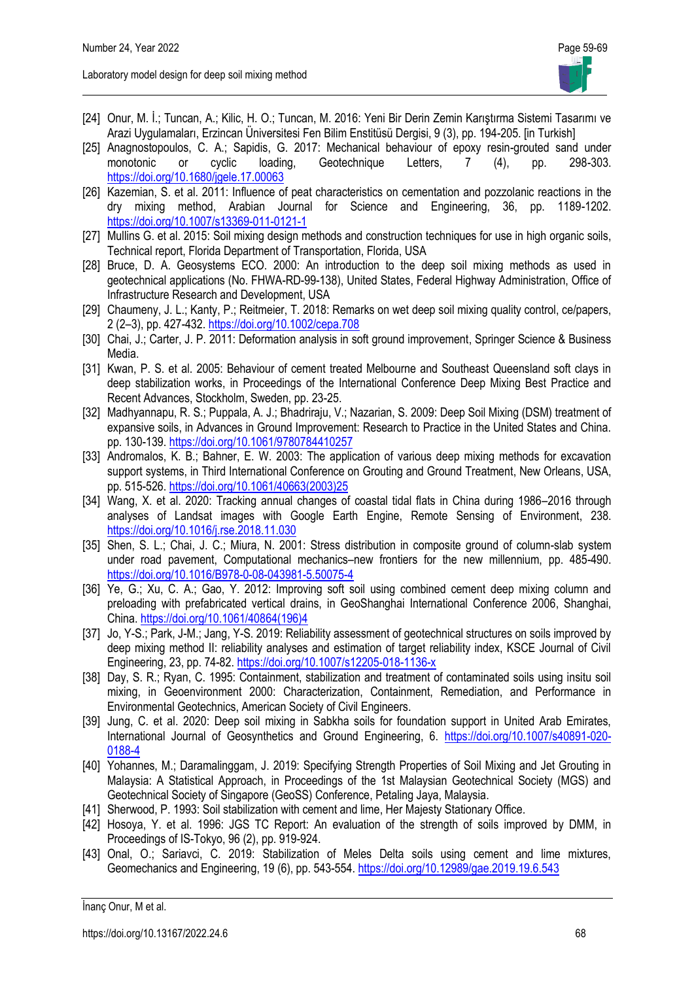- [24] Onur, M. İ.; Tuncan, A.; Kilic, H. O.; Tuncan, M. 2016: Yeni Bir Derin Zemin Karıştırma Sistemi Tasarımı ve Arazi Uygulamaları, Erzincan Üniversitesi Fen Bilim Enstitüsü Dergisi, 9 (3), pp. 194-205. [in Turkish]
- [25] Anagnostopoulos, C. A.; Sapidis, G. 2017: Mechanical behaviour of epoxy resin-grouted sand under monotonic or cyclic loading, Geotechnique Letters, 7 (4), pp. 298-303. <https://doi.org/10.1680/jgele.17.00063>
- [26] Kazemian, S. et al. 2011: Influence of peat characteristics on cementation and pozzolanic reactions in the dry mixing method, Arabian Journal for Science and Engineering, 36, pp. 1189-1202. <https://doi.org/10.1007/s13369-011-0121-1>
- [27] Mullins G. et al. 2015: Soil mixing design methods and construction techniques for use in high organic soils, Technical report, Florida Department of Transportation, Florida, USA
- [28] Bruce, D. A. Geosystems ECO. 2000: An introduction to the deep soil mixing methods as used in geotechnical applications (No. FHWA-RD-99-138), United States, Federal Highway Administration, Office of Infrastructure Research and Development, USA
- [29] Chaumeny, J. L.; Kanty, P.; Reitmeier, T. 2018: Remarks on wet deep soil mixing quality control, ce/papers, 2 (2–3), pp. 427-432.<https://doi.org/10.1002/cepa.708>
- [30] Chai, J.; Carter, J. P. 2011: Deformation analysis in soft ground improvement, Springer Science & Business Media.
- [31] Kwan, P. S. et al. 2005: Behaviour of cement treated Melbourne and Southeast Queensland soft clays in deep stabilization works, in Proceedings of the International Conference Deep Mixing Best Practice and Recent Advances, Stockholm, Sweden, pp. 23-25.
- [32] Madhyannapu, R. S.; Puppala, A. J.; Bhadriraju, V.; Nazarian, S. 2009: Deep Soil Mixing (DSM) treatment of expansive soils, in Advances in Ground Improvement: Research to Practice in the United States and China. pp. 130-139.<https://doi.org/10.1061/9780784410257>
- [33] Andromalos, K. B.; Bahner, E. W. 2003: The application of various deep mixing methods for excavation support systems, in Third International Conference on Grouting and Ground Treatment, New Orleans, USA, pp. 515-526. [https://doi.org/10.1061/40663\(2003\)25](https://doi.org/10.1061/40663(2003)25)
- [34] Wang, X. et al. 2020: Tracking annual changes of coastal tidal flats in China during 1986–2016 through analyses of Landsat images with Google Earth Engine, Remote Sensing of Environment, 238. <https://doi.org/10.1016/j.rse.2018.11.030>
- [35] Shen, S. L.; Chai, J. C.; Miura, N. 2001: Stress distribution in composite ground of column-slab system under road pavement, Computational mechanics–new frontiers for the new millennium, pp. 485-490. <https://doi.org/10.1016/B978-0-08-043981-5.50075-4>
- [36] Ye, G.; Xu, C. A.; Gao, Y. 2012: Improving soft soil using combined cement deep mixing column and preloading with prefabricated vertical drains, in GeoShanghai International Conference 2006, Shanghai, China[. https://doi.org/10.1061/40864\(196\)4](https://doi.org/10.1061/40864(196)4)
- [37] Jo, Y-S.; Park, J-M.; Jang, Y-S. 2019: Reliability assessment of geotechnical structures on soils improved by deep mixing method II: reliability analyses and estimation of target reliability index, KSCE Journal of Civil Engineering, 23, pp. 74-82[. https://doi.org/10.1007/s12205-018-1136-x](https://doi.org/10.1007/s12205-018-1136-x)
- [38] Day, S. R.; Ryan, C. 1995: Containment, stabilization and treatment of contaminated soils using insitu soil mixing, in Geoenvironment 2000: Characterization, Containment, Remediation, and Performance in Environmental Geotechnics, American Society of Civil Engineers.
- [39] Jung, C. et al. 2020: Deep soil mixing in Sabkha soils for foundation support in United Arab Emirates, International Journal of Geosynthetics and Ground Engineering, 6. [https://doi.org/10.1007/s40891-020-](https://doi.org/10.1007/s40891-020-0188-4) [0188-4](https://doi.org/10.1007/s40891-020-0188-4)
- [40] Yohannes, M.; Daramalinggam, J. 2019: Specifying Strength Properties of Soil Mixing and Jet Grouting in Malaysia: A Statistical Approach, in Proceedings of the 1st Malaysian Geotechnical Society (MGS) and Geotechnical Society of Singapore (GeoSS) Conference, Petaling Jaya, Malaysia.
- [41] Sherwood, P. 1993: Soil stabilization with cement and lime, Her Majesty Stationary Office.
- [42] Hosoya, Y. et al. 1996: JGS TC Report: An evaluation of the strength of soils improved by DMM, in Proceedings of IS-Tokyo, 96 (2), pp. 919-924.
- [43] Onal, O.; Sariavci, C. 2019: Stabilization of Meles Delta soils using cement and lime mixtures, Geomechanics and Engineering, 19 (6), pp. 543-554.<https://doi.org/10.12989/gae.2019.19.6.543>